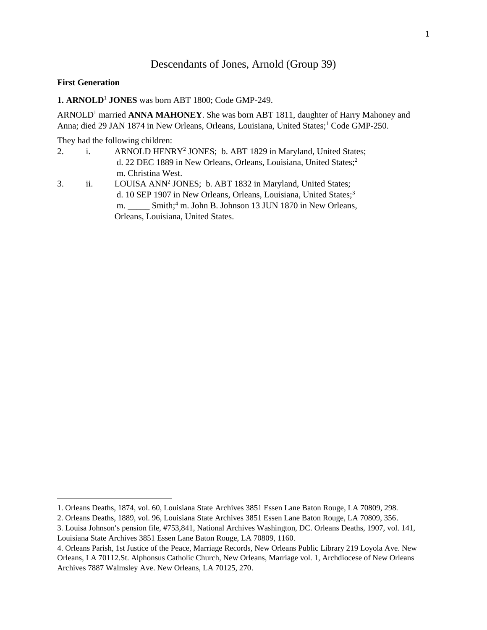## Descendants of Jones, Arnold (Group 39)

## **First Generation**

 $\overline{a}$ 

**1. ARNOLD**<sup>1</sup> **JONES** was born ABT 1800; Code GMP-249.

ARNOLD<sup>1</sup> married **ANNA MAHONEY**. She was born ABT 1811, daughter of Harry Mahoney and Anna; died 29 JAN 1874 in New Orleans, Orleans, Louisiana, United States;<sup>1</sup> Code GMP-250.

They had the following children:

- 2. i. ARNOLD HENRY<sup>2</sup> JONES; b. ABT 1829 in Maryland, United States; d. 22 DEC 1889 in New Orleans, Orleans, Louisiana, United States;<sup>2</sup> m. Christina West.
- 3. ii. LOUISA ANN<sup>2</sup> JONES; b. ABT 1832 in Maryland, United States; d. 10 SEP 1907 in New Orleans, Orleans, Louisiana, United States;<sup>3</sup> m. \_\_\_\_\_ Smith;<sup>4</sup> m. John B. Johnson 13 JUN 1870 in New Orleans, Orleans, Louisiana, United States.

<sup>1.</sup> Orleans Deaths, 1874, vol. 60, Louisiana State Archives 3851 Essen Lane Baton Rouge, LA 70809, 298.

<sup>2.</sup> Orleans Deaths, 1889, vol. 96, Louisiana State Archives 3851 Essen Lane Baton Rouge, LA 70809, 356.

<sup>3.</sup> Louisa Johnson's pension file, #753,841, National Archives Washington, DC. Orleans Deaths, 1907, vol. 141, Louisiana State Archives 3851 Essen Lane Baton Rouge, LA 70809, 1160.

<sup>4.</sup> Orleans Parish, 1st Justice of the Peace, Marriage Records, New Orleans Public Library 219 Loyola Ave. New Orleans, LA 70112.St. Alphonsus Catholic Church, New Orleans, Marriage vol. 1, Archdiocese of New Orleans Archives 7887 Walmsley Ave. New Orleans, LA 70125, 270.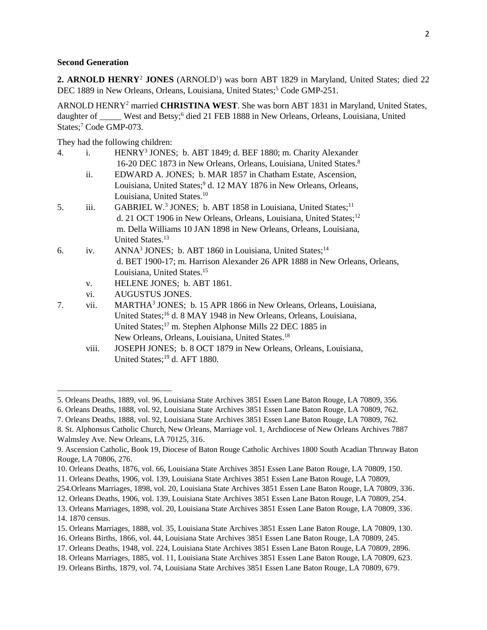## **Second Generation**

 $\overline{a}$ 

2. ARNOLD HENRY<sup>2</sup> JONES (ARNOLD<sup>1</sup>) was born ABT 1829 in Maryland, United States; died 22 DEC 1889 in New Orleans, Orleans, Louisiana, United States;<sup>5</sup> Code GMP-251.

ARNOLD HENRY<sup>2</sup> married **CHRISTINA WEST**. She was born ABT 1831 in Maryland, United States, daughter of \_\_\_\_\_ West and Betsy;<sup>6</sup> died 21 FEB 1888 in New Orleans, Orleans, Louisiana, United States;<sup>7</sup> Code GMP-073.

They had the following children:

| 4. | $\mathbf{i}$ . | HENRY <sup>3</sup> JONES; b. ABT 1849; d. BEF 1880; m. Charity Alexander              |
|----|----------------|---------------------------------------------------------------------------------------|
|    |                | 16-20 DEC 1873 in New Orleans, Orleans, Louisiana, United States. <sup>8</sup>        |
|    | ii.            | EDWARD A. JONES; b. MAR 1857 in Chatham Estate, Ascension,                            |
|    |                | Louisiana, United States; <sup>9</sup> d. 12 MAY 1876 in New Orleans, Orleans,        |
|    |                | Louisiana, United States. <sup>10</sup>                                               |
| 5. | iii.           | GABRIEL W. <sup>3</sup> JONES; b. ABT 1858 in Louisiana, United States; <sup>11</sup> |
|    |                | d. 21 OCT 1906 in New Orleans, Orleans, Louisiana, United States; <sup>12</sup>       |
|    |                | m. Della Williams 10 JAN 1898 in New Orleans, Orleans, Louisiana,                     |
|    |                | United States. <sup>13</sup>                                                          |
| 6. | iv.            | ANNA <sup>3</sup> JONES; b. ABT 1860 in Louisiana, United States; <sup>14</sup>       |
|    |                | d. BET 1900-17; m. Harrison Alexander 26 APR 1888 in New Orleans, Orleans,            |
|    |                | Louisiana, United States. <sup>15</sup>                                               |
|    | V.             | HELENE JONES; b. ABT 1861.                                                            |
|    | vi.            | <b>AUGUSTUS JONES.</b>                                                                |
| 7. | vii.           | MARTHA <sup>3</sup> JONES; b. 15 APR 1866 in New Orleans, Orleans, Louisiana,         |
|    |                | United States; <sup>16</sup> d. 8 MAY 1948 in New Orleans, Orleans, Louisiana,        |
|    |                | United States; <sup>17</sup> m. Stephen Alphonse Mills 22 DEC 1885 in                 |
|    |                | New Orleans, Orleans, Louisiana, United States. <sup>18</sup>                         |

viii. JOSEPH JONES; b. 8 OCT 1879 in New Orleans, Orleans, Louisiana, United States;<sup>19</sup> d. AFT 1880.

<sup>5.</sup> Orleans Deaths, 1889, vol. 96, Louisiana State Archives 3851 Essen Lane Baton Rouge, LA 70809, 356.

<sup>6.</sup> Orleans Deaths, 1888, vol. 92, Louisiana State Archives 3851 Essen Lane Baton Rouge, LA 70809, 762.

<sup>7.</sup> Orleans Deaths, 1888, vol. 92, Louisiana State Archives 3851 Essen Lane Baton Rouge, LA 70809, 762.

<sup>8.</sup> St. Alphonsus Catholic Church, New Orleans, Marriage vol. 1, Archdiocese of New Orleans Archives 7887 Walmsley Ave. New Orleans, LA 70125, 316.

<sup>9.</sup> Ascension Catholic, Book 19, Diocese of Baton Rouge Catholic Archives 1800 South Acadian Thruway Baton Rouge, LA 70806, 276.

<sup>10.</sup> Orleans Deaths, 1876, vol. 66, Louisiana State Archives 3851 Essen Lane Baton Rouge, LA 70809, 150.

<sup>11.</sup> Orleans Deaths, 1906, vol. 139, Louisiana State Archives 3851 Essen Lane Baton Rouge, LA 70809,

<sup>254.</sup>Orleans Marriages, 1898, vol. 20, Louisiana State Archives 3851 Essen Lane Baton Rouge, LA 70809, 336.

<sup>12.</sup> Orleans Deaths, 1906, vol. 139, Louisiana State Archives 3851 Essen Lane Baton Rouge, LA 70809, 254.

<sup>13.</sup> Orleans Marriages, 1898, vol. 20, Louisiana State Archives 3851 Essen Lane Baton Rouge, LA 70809, 336. 14. 1870 census.

<sup>15.</sup> Orleans Marriages, 1888, vol. 35, Louisiana State Archives 3851 Essen Lane Baton Rouge, LA 70809, 130.

<sup>16.</sup> Orleans Births, 1866, vol. 44, Louisiana State Archives 3851 Essen Lane Baton Rouge, LA 70809, 245.

<sup>17.</sup> Orleans Deaths, 1948, vol. 224, Louisiana State Archives 3851 Essen Lane Baton Rouge, LA 70809, 2896.

<sup>18.</sup> Orleans Marriages, 1885, vol. 11, Louisiana State Archives 3851 Essen Lane Baton Rouge, LA 70809, 623.

<sup>19.</sup> Orleans Births, 1879, vol. 74, Louisiana State Archives 3851 Essen Lane Baton Rouge, LA 70809, 679.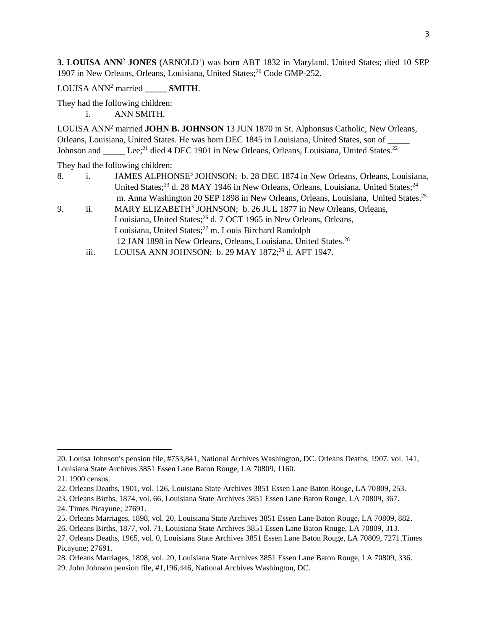**3. LOUISA ANN<sup>2</sup> JONES** (ARNOLD<sup>1</sup>) was born ABT 1832 in Maryland, United States; died 10 SEP 1907 in New Orleans, Orleans, Louisiana, United States;<sup>20</sup> Code GMP-252.

LOUISA ANN<sup>2</sup> married **SMITH.** 

They had the following children: i. ANN SMITH.

LOUISA ANN<sup>2</sup> married **JOHN B. JOHNSON** 13 JUN 1870 in St. Alphonsus Catholic, New Orleans, Orleans, Louisiana, United States. He was born DEC 1845 in Louisiana, United States, son of \_ Johnson and Lee;<sup>21</sup> died 4 DEC 1901 in New Orleans, Orleans, Louisiana, United States.<sup>22</sup>

They had the following children:

- 8. i. JAMES ALPHONSE<sup>3</sup> JOHNSON; b. 28 DEC 1874 in New Orleans, Orleans, Louisiana, United States;<sup>23</sup> d. 28 MAY 1946 in New Orleans, Orleans, Louisiana, United States;<sup>24</sup> m. Anna Washington 20 SEP 1898 in New Orleans, Orleans, Louisiana, United States.<sup>25</sup>
- 9. ii. MARY ELIZABETH<sup>3</sup> JOHNSON; b. 26 JUL 1877 in New Orleans, Orleans, Louisiana, United States;<sup>26</sup> d. 7 OCT 1965 in New Orleans, Orleans, Louisiana, United States;<sup>27</sup> m. Louis Birchard Randolph 12 JAN 1898 in New Orleans, Orleans, Louisiana, United States.<sup>28</sup>
	- iii. LOUISA ANN JOHNSON; b. 29 MAY 1872;<sup>29</sup> d. AFT 1947.

 $\overline{\phantom{a}}$ 

29. John Johnson pension file, #1,196,446, National Archives Washington, DC.

<sup>20.</sup> Louisa Johnson's pension file, #753,841, National Archives Washington, DC. Orleans Deaths, 1907, vol. 141, Louisiana State Archives 3851 Essen Lane Baton Rouge, LA 70809, 1160.

<sup>21. 1900</sup> census.

<sup>22.</sup> Orleans Deaths, 1901, vol. 126, Louisiana State Archives 3851 Essen Lane Baton Rouge, LA 70809, 253.

<sup>23.</sup> Orleans Births, 1874, vol. 66, Louisiana State Archives 3851 Essen Lane Baton Rouge, LA 70809, 367.

<sup>24.</sup> Times Picayune; 27691.

<sup>25.</sup> Orleans Marriages, 1898, vol. 20, Louisiana State Archives 3851 Essen Lane Baton Rouge, LA 70809, 882.

<sup>26.</sup> Orleans Births, 1877, vol. 71, Louisiana State Archives 3851 Essen Lane Baton Rouge, LA 70809, 313.

<sup>27.</sup> Orleans Deaths, 1965, vol. 0, Louisiana State Archives 3851 Essen Lane Baton Rouge, LA 70809, 7271.Times Picayune; 27691.

<sup>28.</sup> Orleans Marriages, 1898, vol. 20, Louisiana State Archives 3851 Essen Lane Baton Rouge, LA 70809, 336.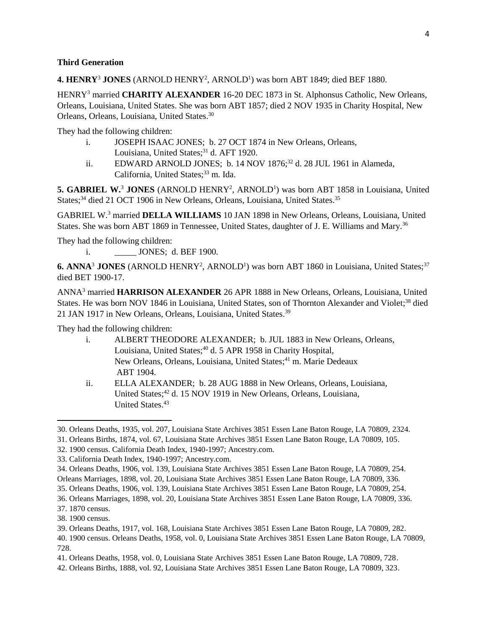## **Third Generation**

4. HENRY<sup>3</sup> JONES (ARNOLD HENRY<sup>2</sup>, ARNOLD<sup>1</sup>) was born ABT 1849; died BEF 1880.

HENRY<sup>3</sup> married **CHARITY ALEXANDER** 16-20 DEC 1873 in St. Alphonsus Catholic, New Orleans, Orleans, Louisiana, United States. She was born ABT 1857; died 2 NOV 1935 in Charity Hospital, New Orleans, Orleans, Louisiana, United States.<sup>30</sup>

They had the following children:

- i. JOSEPH ISAAC JONES; b. 27 OCT 1874 in New Orleans, Orleans, Louisiana, United States;<sup>31</sup> d. AFT 1920.
- ii. EDWARD ARNOLD JONES; b. 14 NOV  $1876$ <sup>32</sup> d. 28 JUL 1961 in Alameda. California, United States;<sup>33</sup> m. Ida.

5. GABRIEL W.<sup>3</sup> JONES (ARNOLD HENRY<sup>2</sup>, ARNOLD<sup>1</sup>) was born ABT 1858 in Louisiana, United States;<sup>34</sup> died 21 OCT 1906 in New Orleans, Orleans, Louisiana, United States.<sup>35</sup>

GABRIEL W.<sup>3</sup> married **DELLA WILLIAMS** 10 JAN 1898 in New Orleans, Orleans, Louisiana, United States. She was born ABT 1869 in Tennessee, United States, daughter of J. E. Williams and Mary.<sup>36</sup>

They had the following children:

i. **JONES**; d. BEF 1900.

6. ANNA<sup>3</sup> JONES (ARNOLD HENRY<sup>2</sup>, ARNOLD<sup>1</sup>) was born ABT 1860 in Louisiana, United States;<sup>37</sup> died BET 1900-17.

ANNA<sup>3</sup> married **HARRISON ALEXANDER** 26 APR 1888 in New Orleans, Orleans, Louisiana, United States. He was born NOV 1846 in Louisiana, United States, son of Thornton Alexander and Violet;<sup>38</sup> died 21 JAN 1917 in New Orleans, Orleans, Louisiana, United States.<sup>39</sup>

They had the following children:

- i. ALBERT THEODORE ALEXANDER; b. JUL 1883 in New Orleans, Orleans, Louisiana, United States;<sup>40</sup> d. 5 APR 1958 in Charity Hospital, New Orleans, Orleans, Louisiana, United States;<sup>41</sup> m. Marie Dedeaux ABT 1904.
- ii. ELLA ALEXANDER; b. 28 AUG 1888 in New Orleans, Orleans, Louisiana, United States;<sup>42</sup> d. 15 NOV 1919 in New Orleans, Orleans, Louisiana, United States.<sup>43</sup>

 $\overline{a}$ 

<sup>30.</sup> Orleans Deaths, 1935, vol. 207, Louisiana State Archives 3851 Essen Lane Baton Rouge, LA 70809, 2324.

<sup>31.</sup> Orleans Births, 1874, vol. 67, Louisiana State Archives 3851 Essen Lane Baton Rouge, LA 70809, 105.

<sup>32. 1900</sup> census. California Death Index, 1940-1997; Ancestry.com.

<sup>33.</sup> California Death Index, 1940-1997; Ancestry.com.

<sup>34.</sup> Orleans Deaths, 1906, vol. 139, Louisiana State Archives 3851 Essen Lane Baton Rouge, LA 70809, 254.

Orleans Marriages, 1898, vol. 20, Louisiana State Archives 3851 Essen Lane Baton Rouge, LA 70809, 336.

<sup>35.</sup> Orleans Deaths, 1906, vol. 139, Louisiana State Archives 3851 Essen Lane Baton Rouge, LA 70809, 254.

<sup>36.</sup> Orleans Marriages, 1898, vol. 20, Louisiana State Archives 3851 Essen Lane Baton Rouge, LA 70809, 336.

<sup>37. 1870</sup> census.

<sup>38. 1900</sup> census.

<sup>39.</sup> Orleans Deaths, 1917, vol. 168, Louisiana State Archives 3851 Essen Lane Baton Rouge, LA 70809, 282.

<sup>40. 1900</sup> census. Orleans Deaths, 1958, vol. 0, Louisiana State Archives 3851 Essen Lane Baton Rouge, LA 70809, 728.

<sup>41.</sup> Orleans Deaths, 1958, vol. 0, Louisiana State Archives 3851 Essen Lane Baton Rouge, LA 70809, 728.

<sup>42.</sup> Orleans Births, 1888, vol. 92, Louisiana State Archives 3851 Essen Lane Baton Rouge, LA 70809, 323.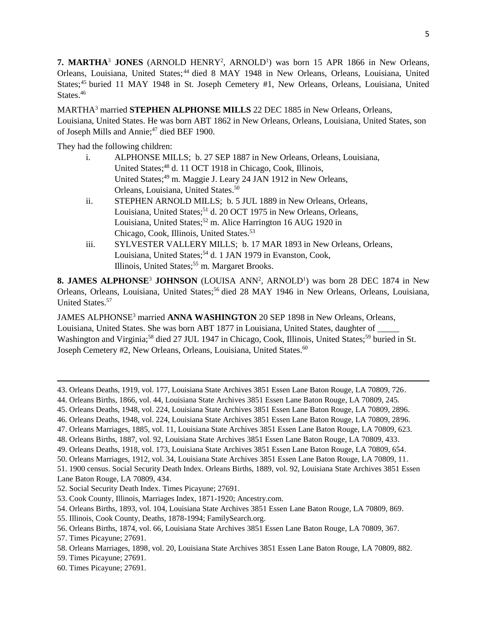**7. MARTHA<sup>3</sup> JONES** (ARNOLD HENRY<sup>2</sup>, ARNOLD<sup>1</sup>) was born 15 APR 1866 in New Orleans, Orleans, Louisiana, United States; <sup>44</sup> died 8 MAY 1948 in New Orleans, Orleans, Louisiana, United States;<sup>45</sup> buried 11 MAY 1948 in St. Joseph Cemetery #1, New Orleans, Orleans, Louisiana, United States.<sup>46</sup>

MARTHA<sup>3</sup> married **STEPHEN ALPHONSE MILLS** 22 DEC 1885 in New Orleans, Orleans, Louisiana, United States. He was born ABT 1862 in New Orleans, Orleans, Louisiana, United States, son of Joseph Mills and Annie;<sup>47</sup> died BEF 1900.

They had the following children:

- i. ALPHONSE MILLS; b. 27 SEP 1887 in New Orleans, Orleans, Louisiana, United States;<sup>48</sup> d. 11 OCT 1918 in Chicago, Cook, Illinois, United States;<sup>49</sup> m. Maggie J. Leary 24 JAN 1912 in New Orleans, Orleans, Louisiana, United States.<sup>50</sup>
- ii. STEPHEN ARNOLD MILLS; b. 5 JUL 1889 in New Orleans, Orleans, Louisiana, United States;<sup>51</sup> d. 20 OCT 1975 in New Orleans, Orleans, Louisiana, United States;<sup>52</sup> m. Alice Harrington 16 AUG 1920 in Chicago, Cook, Illinois, United States.<sup>53</sup>
- iii. SYLVESTER VALLERY MILLS; b. 17 MAR 1893 in New Orleans, Orleans, Louisiana, United States;<sup>54</sup> d. 1 JAN 1979 in Evanston, Cook, Illinois, United States;<sup>55</sup> m. Margaret Brooks.

**8. JAMES ALPHONSE<sup>3</sup> JOHNSON** (LOUISA ANN<sup>2</sup>, ARNOLD<sup>1</sup>) was born 28 DEC 1874 in New Orleans, Orleans, Louisiana, United States;<sup>56</sup> died 28 MAY 1946 in New Orleans, Orleans, Louisiana, United States.<sup>57</sup>

JAMES ALPHONSE<sup>3</sup> married **ANNA WASHINGTON** 20 SEP 1898 in New Orleans, Orleans, Louisiana, United States. She was born ABT 1877 in Louisiana, United States, daughter of \_\_\_\_\_ Washington and Virginia;<sup>58</sup> died 27 JUL 1947 in Chicago, Cook, Illinois, United States;<sup>59</sup> buried in St. Joseph Cemetery #2, New Orleans, Orleans, Louisiana, United States.<sup>60</sup>

 $\overline{\phantom{a}}$ 

<sup>43.</sup> Orleans Deaths, 1919, vol. 177, Louisiana State Archives 3851 Essen Lane Baton Rouge, LA 70809, 726.

<sup>44.</sup> Orleans Births, 1866, vol. 44, Louisiana State Archives 3851 Essen Lane Baton Rouge, LA 70809, 245.

<sup>45.</sup> Orleans Deaths, 1948, vol. 224, Louisiana State Archives 3851 Essen Lane Baton Rouge, LA 70809, 2896.

<sup>46.</sup> Orleans Deaths, 1948, vol. 224, Louisiana State Archives 3851 Essen Lane Baton Rouge, LA 70809, 2896.

<sup>47.</sup> Orleans Marriages, 1885, vol. 11, Louisiana State Archives 3851 Essen Lane Baton Rouge, LA 70809, 623.

<sup>48.</sup> Orleans Births, 1887, vol. 92, Louisiana State Archives 3851 Essen Lane Baton Rouge, LA 70809, 433.

<sup>49.</sup> Orleans Deaths, 1918, vol. 173, Louisiana State Archives 3851 Essen Lane Baton Rouge, LA 70809, 654.

<sup>50.</sup> Orleans Marriages, 1912, vol. 34, Louisiana State Archives 3851 Essen Lane Baton Rouge, LA 70809, 11.

<sup>51. 1900</sup> census. Social Security Death Index. Orleans Births, 1889, vol. 92, Louisiana State Archives 3851 Essen Lane Baton Rouge, LA 70809, 434.

<sup>52.</sup> Social Security Death Index. Times Picayune; 27691.

<sup>53.</sup> Cook County, Illinois, Marriages Index, 1871-1920; Ancestry.com.

<sup>54.</sup> Orleans Births, 1893, vol. 104, Louisiana State Archives 3851 Essen Lane Baton Rouge, LA 70809, 869.

<sup>55.</sup> Illinois, Cook County, Deaths, 1878-1994; FamilySearch.org.

<sup>56.</sup> Orleans Births, 1874, vol. 66, Louisiana State Archives 3851 Essen Lane Baton Rouge, LA 70809, 367.

<sup>57.</sup> Times Picayune; 27691.

<sup>58.</sup> Orleans Marriages, 1898, vol. 20, Louisiana State Archives 3851 Essen Lane Baton Rouge, LA 70809, 882.

<sup>59.</sup> Times Picayune; 27691.

<sup>60.</sup> Times Picayune; 27691.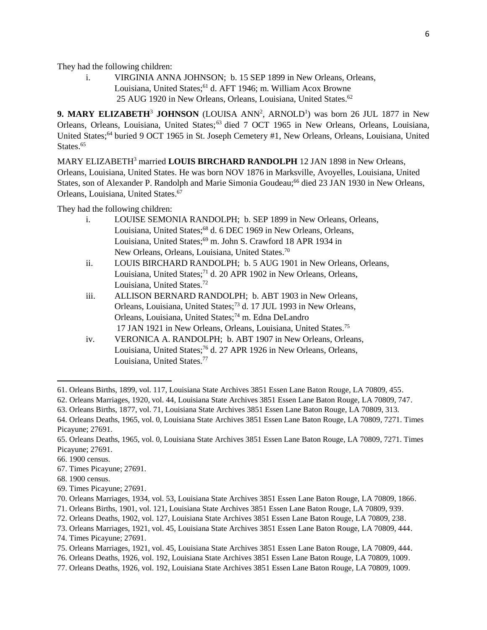They had the following children:

i. VIRGINIA ANNA JOHNSON; b. 15 SEP 1899 in New Orleans, Orleans, Louisiana, United States;<sup>61</sup> d. AFT 1946; m. William Acox Browne 25 AUG 1920 in New Orleans, Orleans, Louisiana, United States.<sup>62</sup>

**9. MARY ELIZABETH<sup>3</sup> JOHNSON** (LOUISA ANN<sup>2</sup>, ARNOLD<sup>1</sup>) was born 26 JUL 1877 in New Orleans, Orleans, Louisiana, United States;<sup>63</sup> died 7 OCT 1965 in New Orleans, Orleans, Louisiana, United States;<sup>64</sup> buried 9 OCT 1965 in St. Joseph Cemetery #1, New Orleans, Orleans, Louisiana, United States.<sup>65</sup>

MARY ELIZABETH<sup>3</sup> married **LOUIS BIRCHARD RANDOLPH** 12 JAN 1898 in New Orleans, Orleans, Louisiana, United States. He was born NOV 1876 in Marksville, Avoyelles, Louisiana, United States, son of Alexander P. Randolph and Marie Simonia Goudeau;<sup>66</sup> died 23 JAN 1930 in New Orleans, Orleans, Louisiana, United States.<sup>67</sup>

They had the following children:

- i. LOUISE SEMONIA RANDOLPH; b. SEP 1899 in New Orleans, Orleans, Louisiana, United States;<sup>68</sup> d. 6 DEC 1969 in New Orleans, Orleans, Louisiana, United States;<sup>69</sup> m. John S. Crawford 18 APR 1934 in New Orleans, Orleans, Louisiana, United States.<sup>70</sup>
- ii. LOUIS BIRCHARD RANDOLPH; b. 5 AUG 1901 in New Orleans, Orleans, Louisiana, United States;<sup>71</sup> d. 20 APR 1902 in New Orleans, Orleans, Louisiana, United States.<sup>72</sup>
- iii. ALLISON BERNARD RANDOLPH; b. ABT 1903 in New Orleans, Orleans, Louisiana, United States;<sup>73</sup> d. 17 JUL 1993 in New Orleans, Orleans, Louisiana, United States;<sup>74</sup> m. Edna DeLandro 17 JAN 1921 in New Orleans, Orleans, Louisiana, United States.<sup>75</sup>
- iv. VERONICA A. RANDOLPH; b. ABT 1907 in New Orleans, Orleans, Louisiana, United States;<sup>76</sup> d. 27 APR 1926 in New Orleans, Orleans, Louisiana, United States.<sup>77</sup>

 $\overline{\phantom{a}}$ 

67. Times Picayune; 27691.

69. Times Picayune; 27691.

75. Orleans Marriages, 1921, vol. 45, Louisiana State Archives 3851 Essen Lane Baton Rouge, LA 70809, 444.

77. Orleans Deaths, 1926, vol. 192, Louisiana State Archives 3851 Essen Lane Baton Rouge, LA 70809, 1009.

<sup>61.</sup> Orleans Births, 1899, vol. 117, Louisiana State Archives 3851 Essen Lane Baton Rouge, LA 70809, 455.

<sup>62.</sup> Orleans Marriages, 1920, vol. 44, Louisiana State Archives 3851 Essen Lane Baton Rouge, LA 70809, 747.

<sup>63.</sup> Orleans Births, 1877, vol. 71, Louisiana State Archives 3851 Essen Lane Baton Rouge, LA 70809, 313.

<sup>64.</sup> Orleans Deaths, 1965, vol. 0, Louisiana State Archives 3851 Essen Lane Baton Rouge, LA 70809, 7271. Times Picayune; 27691.

<sup>65.</sup> Orleans Deaths, 1965, vol. 0, Louisiana State Archives 3851 Essen Lane Baton Rouge, LA 70809, 7271. Times Picayune; 27691.

<sup>66. 1900</sup> census.

<sup>68. 1900</sup> census.

<sup>70.</sup> Orleans Marriages, 1934, vol. 53, Louisiana State Archives 3851 Essen Lane Baton Rouge, LA 70809, 1866.

<sup>71.</sup> Orleans Births, 1901, vol. 121, Louisiana State Archives 3851 Essen Lane Baton Rouge, LA 70809, 939.

<sup>72.</sup> Orleans Deaths, 1902, vol. 127, Louisiana State Archives 3851 Essen Lane Baton Rouge, LA 70809, 238.

<sup>73.</sup> Orleans Marriages, 1921, vol. 45, Louisiana State Archives 3851 Essen Lane Baton Rouge, LA 70809, 444.

<sup>74.</sup> Times Picayune; 27691.

<sup>76.</sup> Orleans Deaths, 1926, vol. 192, Louisiana State Archives 3851 Essen Lane Baton Rouge, LA 70809, 1009.